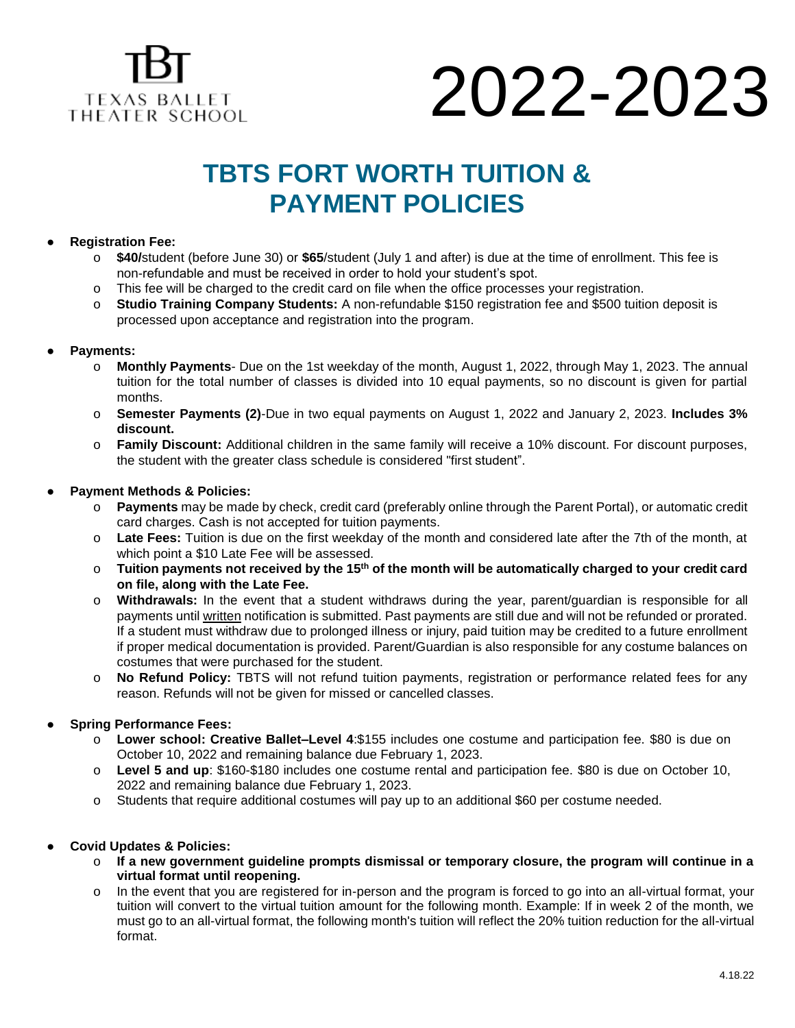

# 2022-2023

### **TBTS FORT WORTH TUITION & PAYMENT POLICIES**

#### ● **Registration Fee:**

- \$40/student (before June 30) or \$65/student (July 1 and after) is due at the time of enrollment. This fee is non-refundable and must be received in order to hold your student's spot.
- o This fee will be charged to the credit card on file when the office processes your registration.
- o **Studio Training Company Students:** A non-refundable \$150 registration fee and \$500 tuition deposit is processed upon acceptance and registration into the program.

#### ● **Payments:**

- o **Monthly Payments** Due on the 1st weekday of the month, August 1, 2022, through May 1, 2023. The annual tuition for the total number of classes is divided into 10 equal payments, so no discount is given for partial months.
- o **Semester Payments (2)**-Due in two equal payments on August 1, 2022 and January 2, 2023. **Includes 3% discount.**
- o **Family Discount:** Additional children in the same family will receive a 10% discount. For discount purposes, the student with the greater class schedule is considered "first student".

#### **● Payment Methods & Policies:**

- o **Payments** may be made by check, credit card (preferably online through the Parent Portal), or automatic credit card charges. Cash is not accepted for tuition payments.
- o **Late Fees:** Tuition is due on the first weekday of the month and considered late after the 7th of the month, at which point a \$10 Late Fee will be assessed.
- o **Tuition payments not received by the 15th of the month will be automatically charged to your credit card on file, along with the Late Fee.**
- o **Withdrawals:** In the event that a student withdraws during the year, parent/guardian is responsible for all payments until written notification is submitted. Past payments are still due and will not be refunded or prorated. If a student must withdraw due to prolonged illness or injury, paid tuition may be credited to a future enrollment if proper medical documentation is provided. Parent/Guardian is also responsible for any costume balances on costumes that were purchased for the student.
- o **No Refund Policy:** TBTS will not refund tuition payments, registration or performance related fees for any reason. Refunds will not be given for missed or cancelled classes.

#### **● Spring Performance Fees:**

- o **Lower school: Creative Ballet–Level 4**:\$155 includes one costume and participation fee. \$80 is due on October 10, 2022 and remaining balance due February 1, 2023.
- o **Level 5 and up**: \$160-\$180 includes one costume rental and participation fee. \$80 is due on October 10, 2022 and remaining balance due February 1, 2023.
- o Students that require additional costumes will pay up to an additional \$60 per costume needed.

#### **● Covid Updates & Policies:**

- o **If a new government guideline prompts dismissal or temporary closure, the program will continue in a virtual format until reopening.**
- o In the event that you are registered for in-person and the program is forced to go into an all-virtual format, your tuition will convert to the virtual tuition amount for the following month. Example: If in week 2 of the month, we must go to an all-virtual format, the following month's tuition will reflect the 20% tuition reduction for the all-virtual format.